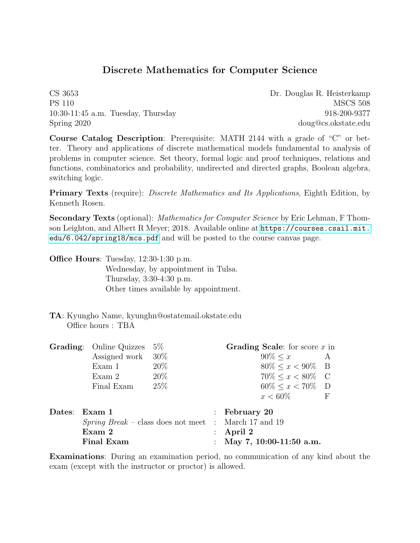## Discrete Mathematics for Computer Science

CS 3653 Dr. Douglas R. Heisterkamp PS 110 MSCS 508 10:30-11:45 a.m. Tuesday, Thursday 918-200-9377 Spring 2020 doug@cs.okstate.edu

Course Catalog Description: Prerequisite: MATH 2144 with a grade of "C" or better. Theory and applications of discrete mathematical models fundamental to analysis of problems in computer science. Set theory, formal logic and proof techniques, relations and functions, combinatorics and probability, undirected and directed graphs, Boolean algebra, switching logic.

**Primary Texts** (require): *Discrete Mathematics and Its Applications*, Eighth Edition, by Kenneth Rosen.

Secondary Texts (optional): Mathematics for Computer Science by Eric Lehman, F Thomson Leighton, and Albert R Meyer; 2018. Available online at [https://courses.csail.mit.](https://courses.csail.mit.edu/6.042/spring18/mcs.pdf) [edu/6.042/spring18/mcs.pdf](https://courses.csail.mit.edu/6.042/spring18/mcs.pdf) and will be posted to the course canvas page.

Office Hours: Tuesday, 12:30-1:30 p.m.

Wednesday, by appointment in Tulsa. Thursday, 3:30-4:30 p.m. Other times available by appointment.

TA: Kyungho Name, kyunghn@ostatemail.okstate.edu Office hours : TBA

| <b>Grading:</b> Online Quizzes | $5\%$  |                      | Grading Scale: for score $x$ in |                                                                                                                          |
|--------------------------------|--------|----------------------|---------------------------------|--------------------------------------------------------------------------------------------------------------------------|
|                                |        |                      | $90\% < x$ A                    |                                                                                                                          |
| Exam 1                         | $20\%$ |                      | $80\% \leq x < 90\%$ B          |                                                                                                                          |
| Exam 2                         | $20\%$ |                      | $70\% < x < 80\%$ C             |                                                                                                                          |
| Final Exam                     | 25\%   |                      | $60\% \leq x < 70\%$ D          |                                                                                                                          |
|                                |        |                      | $x < 60\%$                      | - F                                                                                                                      |
| Dates: Exam 1                  |        |                      |                                 |                                                                                                                          |
|                                |        |                      |                                 |                                                                                                                          |
| Exam 2                         |        |                      |                                 |                                                                                                                          |
| <b>Final Exam</b>              |        |                      |                                 |                                                                                                                          |
|                                |        | Assigned work $30\%$ |                                 | : February $20$<br><i>Spring Break</i> – class does not meet : March 17 and 19<br>: April 2<br>: May 7, 10:00-11:50 a.m. |

Examinations: During an examination period, no communication of any kind about the exam (except with the instructor or proctor) is allowed.